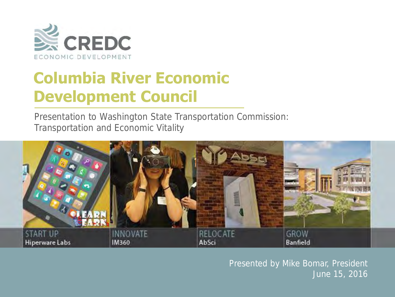

### **Columbia River Economic Development Council**

Presentation to Washington State Transportation Commission: Transportation and Economic Vitality



Presented by Mike Bomar, President June 15, 2016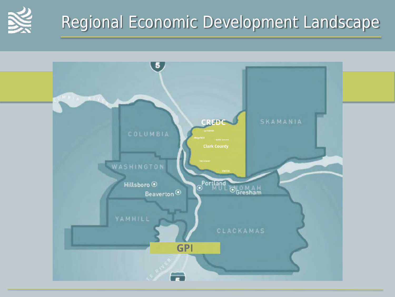

## Regional Economic Development Landscape

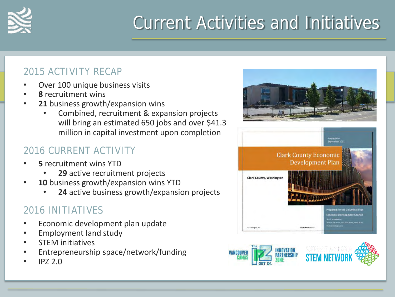

# Current Activities and Initiatives

### 2015 ACTIVITY RECAP

- Over 100 unique business visits
- **8** recruitment wins
- 21 business growth/expansion wins
	- Combined, recruitment & expansion projects will bring an estimated 650 jobs and over \$41.3 million in capital investment upon completion

### 2016 CURRENT ACTIVITY

- **5** recruitment wins YTD
	- **29** active recruitment projects
- 10 business growth/expansion wins YTD
	- **24** active business growth/expansion projects

### 2016 INITIATIVES

- Economic development plan update
- Employment land study
- STEM initiatives
- Entrepreneurship space/network/funding
- IPZ 2.0





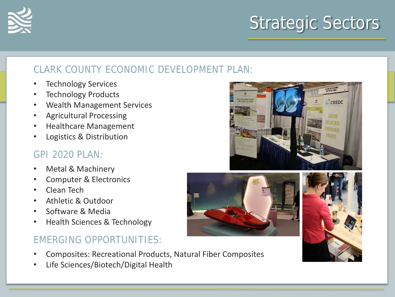

#### CLARK COUNTY ECONOMIC DEVELOPMENT PLAN:

- Technology Services
- **Technology Products**
- Wealth Management Services
- Agricultural Processing
- Healthcare Management
- Logistics & Distribution

#### GPI 2020 PLAN:

- Metal & Machinery
- Computer & Electronics
- Clean Tech
- Athletic & Outdoor
- Software & Media
- Health Sciences & Technology

#### EMERGING OPPORTUNITIES:

- Composites: Recreational Products, Natural Fiber Composites
- Life Sciences/Biotech/Digital Health





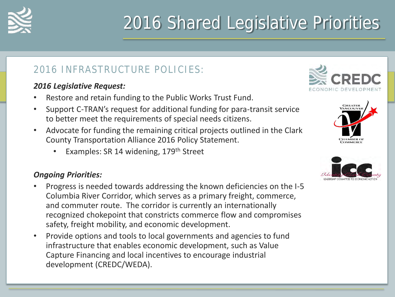

# 2016 Shared Legislative Priorities

#### 2016 INFRASTRUCTURE POLICIES:

#### *2016 Legislative Request:*

- Restore and retain funding to the Public Works Trust Fund.
- Support C-TRAN's request for additional funding for para-transit service to better meet the requirements of special needs citizens.
- Advocate for funding the remaining critical projects outlined in the Clark County Transportation Alliance 2016 Policy Statement.
	- Examples: SR 14 widening, 179<sup>th</sup> Street

#### *Ongoing Priorities:*

- Progress is needed towards addressing the known deficiencies on the I-5 Columbia River Corridor, which serves as a primary freight, commerce, and commuter route. The corridor is currently an internationally recognized chokepoint that constricts commerce flow and compromises safety, freight mobility, and economic development.
- Provide options and tools to local governments and agencies to fund infrastructure that enables economic development, such as Value Capture Financing and local incentives to encourage industrial development (CREDC/WEDA).